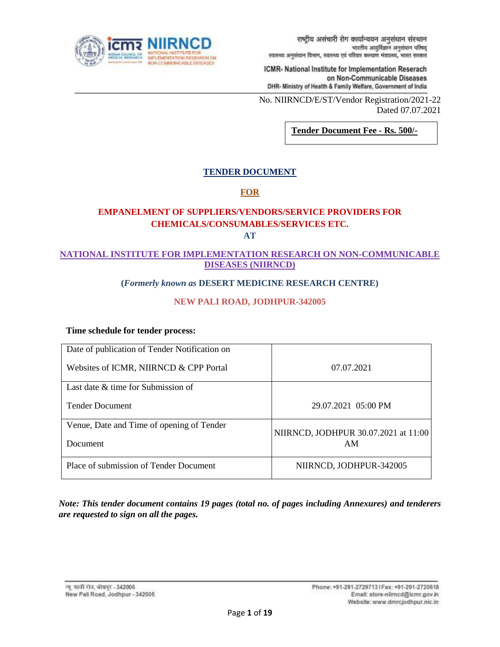

No. NIIRNCD/E/ST/Vendor Registration/2021-22 Dated 07.07.2021

**Tender Document Fee - Rs. 500/-**

# **TENDER DOCUMENT**

# **FOR**

# **EMPANELMENT OF SUPPLIERS/VENDORS/SERVICE PROVIDERS FOR CHEMICALS/CONSUMABLES/SERVICES ETC.**

**AT**

## **NATIONAL INSTITUTE FOR IMPLEMENTATION RESEARCH ON NON-COMMUNICABLE DISEASES (NIIRNCD)**

## **(***Formerly known as* **DESERT MEDICINE RESEARCH CENTRE)**

# **NEW PALI ROAD, JODHPUR-342005**

#### **Time schedule for tender process:**

| Date of publication of Tender Notification on |                                      |
|-----------------------------------------------|--------------------------------------|
| Websites of ICMR, NIIRNCD & CPP Portal        | 07.07.2021                           |
| Last date $\&$ time for Submission of         |                                      |
| <b>Tender Document</b>                        | 29.07.2021 05:00 PM                  |
| Venue, Date and Time of opening of Tender     | NIIRNCD, JODHPUR 30.07.2021 at 11:00 |
| Document                                      | AM                                   |
| Place of submission of Tender Document        | NIIRNCD, JODHPUR-342005              |

*Note: This tender document contains 19 pages (total no. of pages including Annexures) and tenderers are requested to sign on all the pages.*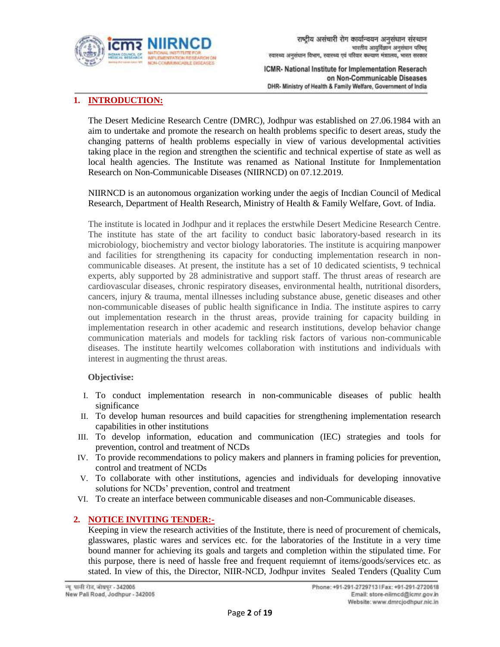

# **1. INTRODUCTION:**

The Desert Medicine Research Centre (DMRC), Jodhpur was established on 27.06.1984 with an aim to undertake and promote the research on health problems specific to desert areas, study the changing patterns of health problems especially in view of various developmental activities taking place in the region and strengthen the scientific and technical expertise of state as well as local health agencies. The Institute was renamed as National Institute for Inmplementation Research on Non-Communicable Diseases (NIIRNCD) on 07.12.2019.

NIIRNCD is an autonomous organization working under the aegis of Incdian Council of Medical Research, Department of Health Research, Ministry of Health & Family Welfare, Govt. of India.

The institute is located in Jodhpur and it replaces the erstwhile Desert Medicine Research Centre. The institute has state of the art facility to conduct basic laboratory-based research in its microbiology, biochemistry and vector biology laboratories. The institute is acquiring manpower and facilities for strengthening its capacity for conducting implementation research in noncommunicable diseases. At present, the institute has a set of 10 dedicated scientists, 9 technical experts, ably supported by 28 administrative and support staff. The thrust areas of research are cardiovascular diseases, chronic respiratory diseases, environmental health, nutritional disorders, cancers, injury & trauma, mental illnesses including substance abuse, genetic diseases and other non-communicable diseases of public health significance in India. The institute aspires to carry out implementation research in the thrust areas, provide training for capacity building in implementation research in other academic and research institutions, develop behavior change communication materials and models for tackling risk factors of various non-communicable diseases. The institute heartily welcomes collaboration with institutions and individuals with interest in augmenting the thrust areas.

#### **Objectivise:**

- I. To conduct implementation research in non-communicable diseases of public health significance
- II. To develop human resources and build capacities for strengthening implementation research capabilities in other institutions
- III. To develop information, education and communication (IEC) strategies and tools for prevention, control and treatment of NCDs
- IV. To provide recommendations to policy makers and planners in framing policies for prevention, control and treatment of NCDs
- V. To collaborate with other institutions, agencies and individuals for developing innovative solutions for NCDs' prevention, control and treatment
- VI. To create an interface between communicable diseases and non-Communicable diseases.

## **2. NOTICE INVITING TENDER:-**

Keeping in view the research activities of the Institute, there is need of procurement of chemicals, glasswares, plastic wares and services etc. for the laboratories of the Institute in a very time bound manner for achieving its goals and targets and completion within the stipulated time. For this purpose, there is need of hassle free and frequent requiemnt of items/goods/services etc. as stated. In view of this, the Director, NIIR-NCD, Jodhpur invites Sealed Tenders (Quality Cum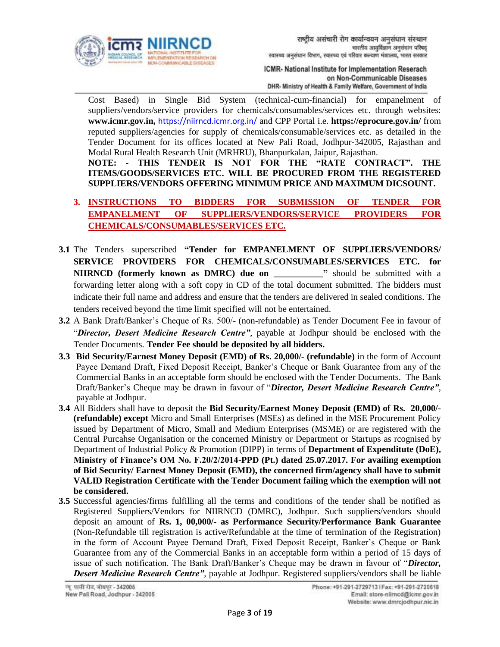

Cost Based) in Single Bid System (technical-cum-financial) for empanelment of suppliers/vendors/service providers for chemicals/consumables/services etc. through websites: **www.icmr.gov.in,** <https://niirncd.icmr.org.in/> and CPP Portal i.e. **<https://eprocure.gov.in/>** from reputed suppliers/agencies for supply of chemicals/consumable/services etc. as detailed in the Tender Document for its offices located at New Pali Road, Jodhpur-342005, Rajasthan and Modal Rural Health Research Unit (MRHRU), Bhanpurkalan, Jaipur, Rajasthan.

**NOTE: - THIS TENDER IS NOT FOR THE "RATE CONTRACT". THE ITEMS/GOODS/SERVICES ETC. WILL BE PROCURED FROM THE REGISTERED SUPPLIERS/VENDORS OFFERING MINIMUM PRICE AND MAXIMUM DICSOUNT.**

- **3. INSTRUCTIONS TO BIDDERS FOR SUBMISSION OF TENDER FOR EMPANELMENT OF SUPPLIERS/VENDORS/SERVICE PROVIDERS FOR CHEMICALS/CONSUMABLES/SERVICES ETC.**
- **3.1** The Tenders superscribed **"Tender for EMPANELMENT OF SUPPLIERS/VENDORS/ SERVICE PROVIDERS FOR CHEMICALS/CONSUMABLES/SERVICES ETC. for NIIRNCD (formerly known as DMRC) due on \_\_\_\_\_\_\_\_\_\_\_"** should be submitted with a forwarding letter along with a soft copy in CD of the total document submitted. The bidders must indicate their full name and address and ensure that the tenders are delivered in sealed conditions. The tenders received beyond the time limit specified will not be entertained.
- **3.2** A Bank Draft/Banker's Cheque of Rs. 500/- (non-refundable) as Tender Document Fee in favour of "*Director, Desert Medicine Research Centre"*, payable at Jodhpur should be enclosed with the Tender Documents. **Tender Fee should be deposited by all bidders.**
- **3.3 Bid Security/Earnest Money Deposit (EMD) of Rs. 20,000/- (refundable)** in the form of Account Payee Demand Draft, Fixed Deposit Receipt, Banker's Cheque or Bank Guarantee from any of the Commercial Banks in an acceptable form should be enclosed with the Tender Documents. The Bank Draft/Banker's Cheque may be drawn in favour of "*Director, Desert Medicine Research Centre"*, payable at Jodhpur.
- **3.4** All Bidders shall have to deposit the **Bid Security/Earnest Money Deposit (EMD) of Rs. 20,000/- (refundable) except** Micro and Small Enterprises (MSEs) as defined in the MSE Procurement Policy issued by Department of Micro, Small and Medium Enterprises (MSME) or are registered with the Central Purcahse Organisation or the concerned Ministry or Department or Startups as rcognised by Department of Industrial Policy & Promotion (DIPP) in terms of **Department of Expenditute (DoE), Ministry of Finance's OM No. F.20/2/2014-PPD (Pt.) dated 25.07.2017. For availing exemption of Bid Security/ Earnest Money Deposit (EMD), the concerned firm/agency shall have to submit VALID Registration Certificate with the Tender Document failing which the exemption will not be considered.**
- **3.5** Successful agencies/firms fulfilling all the terms and conditions of the tender shall be notified as Registered Suppliers/Vendors for NIIRNCD (DMRC), Jodhpur. Such suppliers/vendors should deposit an amount of **Rs. 1, 00,000/- as Performance Security/Performance Bank Guarantee** (Non-Refundable till registration is active/Refundable at the time of termination of the Registration) in the form of Account Payee Demand Draft, Fixed Deposit Receipt, Banker's Cheque or Bank Guarantee from any of the Commercial Banks in an acceptable form within a period of 15 days of issue of such notification. The Bank Draft/Banker's Cheque may be drawn in favour of "*Director, Desert Medicine Research Centre"*, payable at Jodhpur. Registered suppliers/vendors shall be liable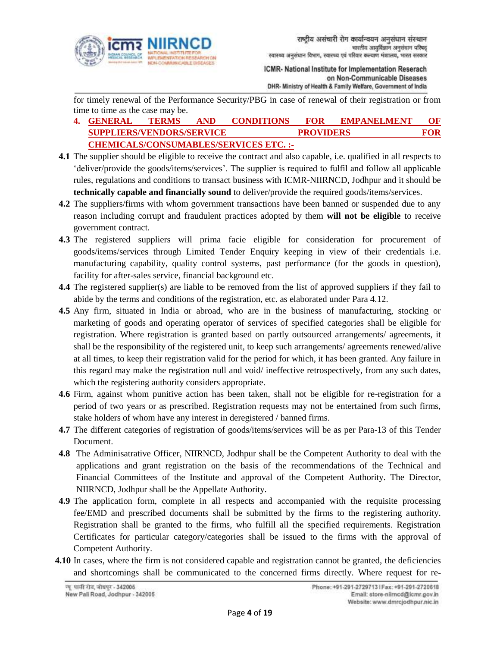

for timely renewal of the Performance Security/PBG in case of renewal of their registration or from time to time as the case may be.

- **4. GENERAL TERMS AND CONDITIONS FOR EMPANELMENT OF SUPPLIERS/VENDORS/SERVICE PROVIDERS FOR CHEMICALS/CONSUMABLES/SERVICES ETC. :-**
- **4.1** The supplier should be eligible to receive the contract and also capable, i.e. qualified in all respects to 'deliver/provide the goods/items/services'. The supplier is required to fulfil and follow all applicable rules, regulations and conditions to transact business with ICMR-NIIRNCD, Jodhpur and it should be **technically capable and financially sound** to deliver/provide the required goods/items/services.
- **4.2** The suppliers/firms with whom government transactions have been banned or suspended due to any reason including corrupt and fraudulent practices adopted by them **will not be eligible** to receive government contract.
- **4.3** The registered suppliers will prima facie eligible for consideration for procurement of goods/items/services through Limited Tender Enquiry keeping in view of their credentials i.e. manufacturing capability, quality control systems, past performance (for the goods in question), facility for after-sales service, financial background etc.
- **4.4** The registered supplier(s) are liable to be removed from the list of approved suppliers if they fail to abide by the terms and conditions of the registration, etc. as elaborated under Para 4.12.
- **4.5** Any firm, situated in India or abroad, who are in the business of manufacturing, stocking or marketing of goods and operating operator of services of specified categories shall be eligible for registration. Where registration is granted based on partly outsourced arrangements/ agreements, it shall be the responsibility of the registered unit, to keep such arrangements/ agreements renewed/alive at all times, to keep their registration valid for the period for which, it has been granted. Any failure in this regard may make the registration null and void/ ineffective retrospectively, from any such dates, which the registering authority considers appropriate.
- **4.6** Firm, against whom punitive action has been taken, shall not be eligible for re-registration for a period of two years or as prescribed. Registration requests may not be entertained from such firms, stake holders of whom have any interest in deregistered / banned firms.
- **4.7** The different categories of registration of goods/items/services will be as per Para-13 of this Tender Document.
- **4.8** The Adminisatrative Officer, NIIRNCD, Jodhpur shall be the Competent Authority to deal with the applications and grant registration on the basis of the recommendations of the Technical and Financial Committees of the Institute and approval of the Competent Authority. The Director, NIIRNCD, Jodhpur shall be the Appellate Authority.
- **4.9** The application form, complete in all respects and accompanied with the requisite processing fee/EMD and prescribed documents shall be submitted by the firms to the registering authority. Registration shall be granted to the firms, who fulfill all the specified requirements. Registration Certificates for particular category/categories shall be issued to the firms with the approval of Competent Authority.
- **4.10** In cases, where the firm is not considered capable and registration cannot be granted, the deficiencies and shortcomings shall be communicated to the concerned firms directly. Where request for re-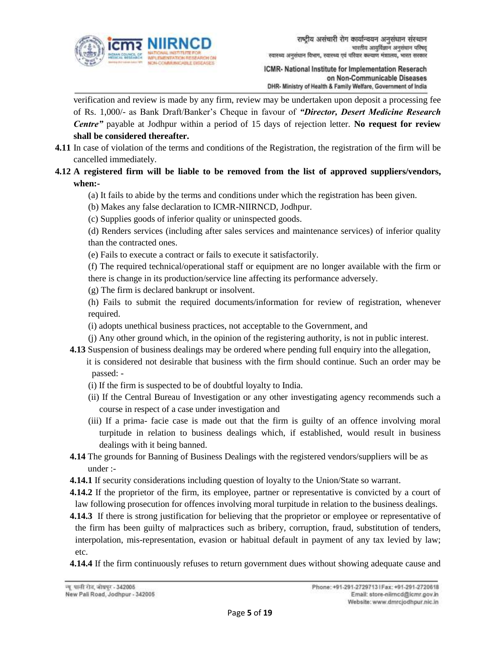

verification and review is made by any firm, review may be undertaken upon deposit a processing fee of Rs. 1,000/- as Bank Draft/Banker's Cheque in favour of *"Director, Desert Medicine Research Centre"* payable at Jodhpur within a period of 15 days of rejection letter. **No request for review shall be considered thereafter.** 

**4.11** In case of violation of the terms and conditions of the Registration, the registration of the firm will be cancelled immediately.

# **4.12 A registered firm will be liable to be removed from the list of approved suppliers/vendors, when:-**

(a) It fails to abide by the terms and conditions under which the registration has been given.

(b) Makes any false declaration to ICMR-NIIRNCD, Jodhpur.

(c) Supplies goods of inferior quality or uninspected goods.

(d) Renders services (including after sales services and maintenance services) of inferior quality than the contracted ones.

(e) Fails to execute a contract or fails to execute it satisfactorily.

(f) The required technical/operational staff or equipment are no longer available with the firm or there is change in its production/service line affecting its performance adversely.

(g) The firm is declared bankrupt or insolvent.

(h) Fails to submit the required documents/information for review of registration, whenever required.

(i) adopts unethical business practices, not acceptable to the Government, and

(j) Any other ground which, in the opinion of the registering authority, is not in public interest.

- **4.13** Suspension of business dealings may be ordered where pending full enquiry into the allegation, it is considered not desirable that business with the firm should continue. Such an order may be passed: -
	- (i) If the firm is suspected to be of doubtful loyalty to India.
	- (ii) If the Central Bureau of Investigation or any other investigating agency recommends such a course in respect of a case under investigation and
	- (iii) If a prima- facie case is made out that the firm is guilty of an offence involving moral turpitude in relation to business dealings which, if established, would result in business dealings with it being banned.
- **4.14** The grounds for Banning of Business Dealings with the registered vendors/suppliers will be as under :-

**4.14.1** If security considerations including question of loyalty to the Union/State so warrant.

- **4.14.2** If the proprietor of the firm, its employee, partner or representative is convicted by a court of law following prosecution for offences involving moral turpitude in relation to the business dealings.
- **4.14.3** If there is strong justification for believing that the proprietor or employee or representative of the firm has been guilty of malpractices such as bribery, corruption, fraud, substitution of tenders, interpolation, mis-representation, evasion or habitual default in payment of any tax levied by law; etc.
- **4.14.4** If the firm continuously refuses to return government dues without showing adequate cause and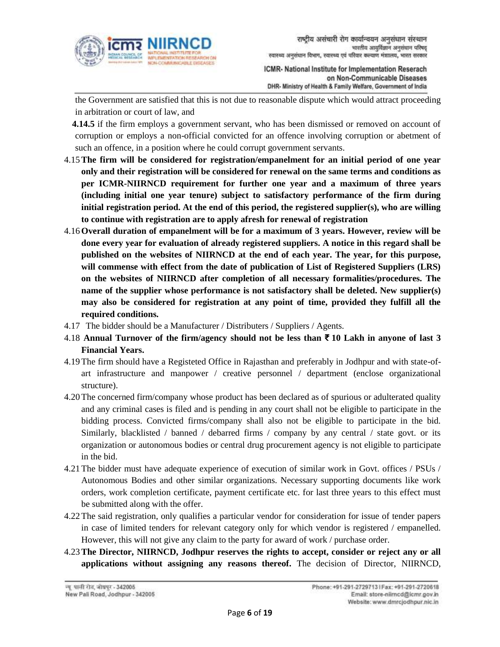

the Government are satisfied that this is not due to reasonable dispute which would attract proceeding in arbitration or court of law, and

**4.14.5** if the firm employs a government servant, who has been dismissed or removed on account of corruption or employs a non-official convicted for an offence involving corruption or abetment of such an offence, in a position where he could corrupt government servants.

- 4.15**The firm will be considered for registration/empanelment for an initial period of one year only and their registration will be considered for renewal on the same terms and conditions as per ICMR-NIIRNCD requirement for further one year and a maximum of three years (including initial one year tenure) subject to satisfactory performance of the firm during initial registration period. At the end of this period, the registered supplier(s), who are willing to continue with registration are to apply afresh for renewal of registration**
- 4.16**Overall duration of empanelment will be for a maximum of 3 years. However, review will be done every year for evaluation of already registered suppliers. A notice in this regard shall be published on the websites of NIIRNCD at the end of each year. The year, for this purpose, will commense with effect from the date of publication of List of Registered Suppliers (LRS) on the websites of NIIRNCD after completion of all necessary formalities/procedures. The name of the supplier whose performance is not satisfactory shall be deleted. New supplier(s) may also be considered for registration at any point of time, provided they fulfill all the required conditions.**
- 4.17 The bidder should be a Manufacturer / Distributers / Suppliers / Agents.
- 4.18 **Annual Turnover of the firm/agency should not be less than ₹ 10 Lakh in anyone of last 3 Financial Years.**
- 4.19The firm should have a Registeted Office in Rajasthan and preferably in Jodhpur and with state-ofart infrastructure and manpower / creative personnel / department (enclose organizational structure).
- 4.20The concerned firm/company whose product has been declared as of spurious or adulterated quality and any criminal cases is filed and is pending in any court shall not be eligible to participate in the bidding process. Convicted firms/company shall also not be eligible to participate in the bid. Similarly, blacklisted / banned / debarred firms / company by any central / state govt. or its organization or autonomous bodies or central drug procurement agency is not eligible to participate in the bid.
- 4.21The bidder must have adequate experience of execution of similar work in Govt. offices / PSUs / Autonomous Bodies and other similar organizations. Necessary supporting documents like work orders, work completion certificate, payment certificate etc. for last three years to this effect must be submitted along with the offer.
- 4.22The said registration, only qualifies a particular vendor for consideration for issue of tender papers in case of limited tenders for relevant category only for which vendor is registered / empanelled. However, this will not give any claim to the party for award of work / purchase order.
- 4.23**The Director, NIIRNCD, Jodhpur reserves the rights to accept, consider or reject any or all applications without assigning any reasons thereof.** The decision of Director, NIIRNCD,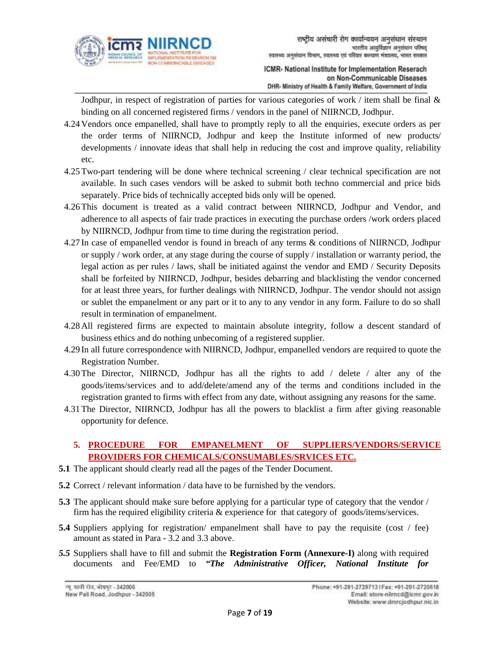

Jodhpur, in respect of registration of parties for various categories of work / item shall be final  $\&$ binding on all concerned registered firms / vendors in the panel of NIIRNCD, Jodhpur.

- 4.24 Vendors once empanelled, shall have to promptly reply to all the enquiries, execute orders as per the order terms of NIIRNCD, Jodhpur and keep the Institute informed of new products/ developments / innovate ideas that shall help in reducing the cost and improve quality, reliability etc.
- 4.25Two-part tendering will be done where technical screening / clear technical specification are not available. In such cases vendors will be asked to submit both techno commercial and price bids separately. Price bids of technically accepted bids only will be opened.
- 4.26This document is treated as a valid contract between NIIRNCD, Jodhpur and Vendor, and adherence to all aspects of fair trade practices in executing the purchase orders /work orders placed by NIIRNCD, Jodhpur from time to time during the registration period.
- 4.27 In case of empanelled vendor is found in breach of any terms & conditions of NIIRNCD, Jodhpur or supply / work order, at any stage during the course of supply / installation or warranty period, the legal action as per rules / laws, shall be initiated against the vendor and EMD / Security Deposits shall be forfeited by NIIRNCD, Jodhpur, besides debarring and blacklisting the vendor concerned for at least three years, for further dealings with NIIRNCD, Jodhpur. The vendor should not assign or sublet the empanelment or any part or it to any to any vendor in any form. Failure to do so shall result in termination of empanelment.
- 4.28 All registered firms are expected to maintain absolute integrity, follow a descent standard of business ethics and do nothing unbecoming of a registered supplier.
- 4.29 In all future correspondence with NIIRNCD, Jodhpur, empanelled vendors are required to quote the Registration Number.
- 4.30The Director, NIIRNCD, Jodhpur has all the rights to add / delete / alter any of the goods/items/services and to add/delete/amend any of the terms and conditions included in the registration granted to firms with effect from any date, without assigning any reasons for the same.
- 4.31The Director, NIIRNCD, Jodhpur has all the powers to blacklist a firm after giving reasonable opportunity for defence.

# **5. PROCEDURE FOR EMPANELMENT OF SUPPLIERS/VENDORS/SERVICE PROVIDERS FOR CHEMICALS/CONSUMABLES/SRVICES ETC.**

- **5.1** The applicant should clearly read all the pages of the Tender Document.
- **5.2** Correct / relevant information / data have to be furnished by the vendors.
- **5.3** The applicant should make sure before applying for a particular type of category that the vendor / firm has the required eligibility criteria & experience for that category of goods/items/services.
- **5.4** Suppliers applying for registration/ empanelment shall have to pay the requisite (cost / fee) amount as stated in Para - 3.2 and 3.3 above.
- *5.5* Suppliers shall have to fill and submit the **Registration Form (Annexure-I)** along with required documents and Fee/EMD to *"The Administrative Officer, National Institute for*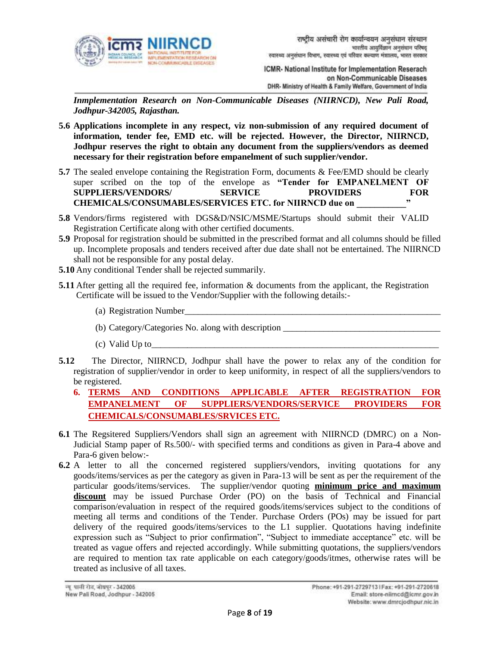

*Inmplementation Research on Non-Communicable Diseases (NIIRNCD), New Pali Road, Jodhpur-342005, Rajasthan.*

- **5.6 Applications incomplete in any respect, viz non-submission of any required document of information, tender fee, EMD etc. will be rejected. However, the Director, NIIRNCD, Jodhpur reserves the right to obtain any document from the suppliers/vendors as deemed necessary for their registration before empanelment of such supplier/vendor.**
- **5.7** The sealed envelope containing the Registration Form, documents & Fee/EMD should be clearly super scribed on the top of the envelope as **"Tender for EMPANELMENT OF SUPPLIERS/VENDORS/ SERVICE PROVIDERS FOR CHEMICALS/CONSUMABLES/SERVICES ETC. for NIIRNCD due on \_\_\_\_\_\_\_\_\_\_\_"**
- **5.8** Vendors/firms registered with DGS&D/NSIC/MSME/Startups should submit their VALID Registration Certificate along with other certified documents.
- **5.9** Proposal for registration should be submitted in the prescribed format and all columns should be filled up. Incomplete proposals and tenders received after due date shall not be entertained. The NIIRNCD shall not be responsible for any postal delay.
- **5.10** Any conditional Tender shall be rejected summarily.
- **5.11** After getting all the required fee, information & documents from the applicant, the Registration Certificate will be issued to the Vendor/Supplier with the following details:-
	- (a) Registration Number
	- (b) Category/Categories No. along with description
	- $(c)$  Valid Up to
- **5.12** The Director, NIIRNCD, Jodhpur shall have the power to relax any of the condition for registration of supplier/vendor in order to keep uniformity, in respect of all the suppliers/vendors to be registered.
	- **6. TERMS AND CONDITIONS APPLICABLE AFTER REGISTRATION FOR EMPANELMENT OF SUPPLIERS/VENDORS/SERVICE PROVIDERS FOR CHEMICALS/CONSUMABLES/SRVICES ETC.**
- **6.1** The Regsitered Suppliers/Vendors shall sign an agreement with NIIRNCD (DMRC) on a Non-Judicial Stamp paper of Rs.500/- with specified terms and conditions as given in Para-4 above and Para-6 given below:-
- **6.2** A letter to all the concerned registered suppliers/vendors, inviting quotations for any goods/items/services as per the category as given in Para-13 will be sent as per the requirement of the particular goods/items/services. The supplier/vendor quoting **minimum price and maximum discount** may be issued Purchase Order (PO) on the basis of Technical and Financial comparison/evaluation in respect of the required goods/items/services subject to the conditions of meeting all terms and conditions of the Tender. Purchase Orders (POs) may be issued for part delivery of the required goods/items/services to the L1 supplier. Quotations having indefinite expression such as "Subject to prior confirmation", "Subject to immediate acceptance" etc. will be treated as vague offers and rejected accordingly. While submitting quotations, the suppliers/vendors are required to mention tax rate applicable on each category/goods/itmes, otherwise rates will be treated as inclusive of all taxes.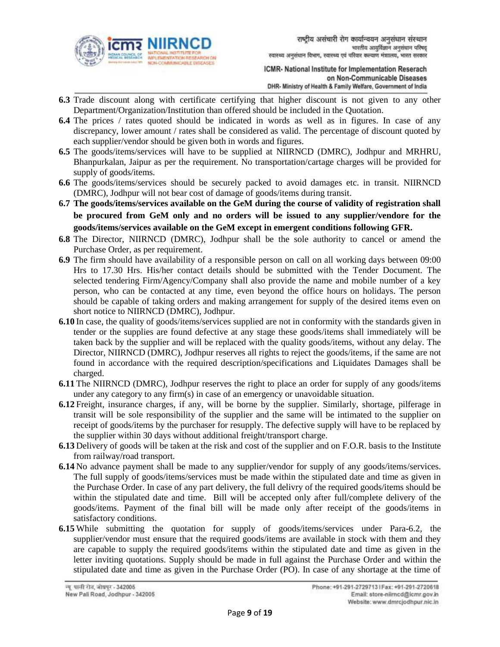

- **6.3** Trade discount along with certificate certifying that higher discount is not given to any other Department/Organization/Institution than offered should be included in the Quotation.
- **6.4** The prices / rates quoted should be indicated in words as well as in figures. In case of any discrepancy, lower amount / rates shall be considered as valid. The percentage of discount quoted by each supplier/vendor should be given both in words and figures.
- **6.5** The goods/items/services will have to be supplied at NIIRNCD (DMRC), Jodhpur and MRHRU, Bhanpurkalan, Jaipur as per the requirement. No transportation/cartage charges will be provided for supply of goods/items.
- **6.6** The goods/items/services should be securely packed to avoid damages etc. in transit. NIIRNCD (DMRC), Jodhpur will not bear cost of damage of goods/items during transit.
- **6.7 The goods/items/services available on the GeM during the course of validity of registration shall be procured from GeM only and no orders will be issued to any supplier/vendore for the goods/items/services available on the GeM except in emergent conditions following GFR.**
- **6.8** The Director, NIIRNCD (DMRC), Jodhpur shall be the sole authority to cancel or amend the Purchase Order, as per requirement.
- **6.9** The firm should have availability of a responsible person on call on all working days between 09:00 Hrs to 17.30 Hrs. His/her contact details should be submitted with the Tender Document. The selected tendering Firm/Agency/Company shall also provide the name and mobile number of a key person, who can be contacted at any time, even beyond the office hours on holidays. The person should be capable of taking orders and making arrangement for supply of the desired items even on short notice to NIIRNCD (DMRC), Jodhpur.
- **6.10** In case, the quality of goods/items/services supplied are not in conformity with the standards given in tender or the supplies are found defective at any stage these goods/items shall immediately will be taken back by the supplier and will be replaced with the quality goods/items, without any delay. The Director, NIIRNCD (DMRC), Jodhpur reserves all rights to reject the goods/items, if the same are not found in accordance with the required description/specifications and Liquidates Damages shall be charged.
- **6.11** The NIIRNCD (DMRC), Jodhpur reserves the right to place an order for supply of any goods/items under any category to any firm(s) in case of an emergency or unavoidable situation.
- **6.12** Freight, insurance charges, if any, will be borne by the supplier. Similarly, shortage, pilferage in transit will be sole responsibility of the supplier and the same will be intimated to the supplier on receipt of goods/items by the purchaser for resupply. The defective supply will have to be replaced by the supplier within 30 days without additional freight/transport charge.
- **6.13** Delivery of goods will be taken at the risk and cost of the supplier and on F.O.R. basis to the Institute from railway/road transport.
- **6.14** No advance payment shall be made to any supplier/vendor for supply of any goods/items/services. The full supply of goods/items/services must be made within the stipulated date and time as given in the Purchase Order. In case of any part delivery, the full delivry of the required goods/items should be within the stipulated date and time. Bill will be accepted only after full/complete delivery of the goods/items. Payment of the final bill will be made only after receipt of the goods/items in satisfactory conditions.
- **6.15** While submitting the quotation for supply of goods/items/services under Para-6.2, the supplier/vendor must ensure that the required goods/items are available in stock with them and they are capable to supply the required goods/items within the stipulated date and time as given in the letter inviting quotations. Supply should be made in full against the Purchase Order and within the stipulated date and time as given in the Purchase Order (PO). In case of any shortage at the time of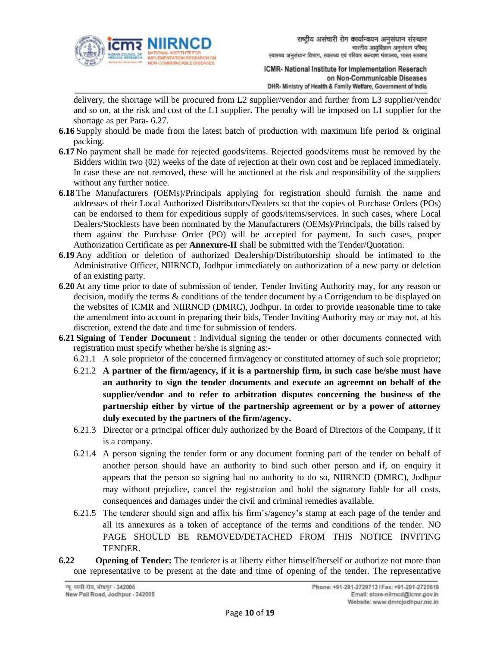

delivery, the shortage will be procured from L2 supplier/vendor and further from L3 supplier/vendor and so on, at the risk and cost of the L1 supplier. The penalty will be imposed on L1 supplier for the shortage as per Para- 6.27.

- **6.16** Supply should be made from the latest batch of production with maximum life period & original packing.
- **6.17** No payment shall be made for rejected goods/items. Rejected goods/items must be removed by the Bidders within two (02) weeks of the date of rejection at their own cost and be replaced immediately. In case these are not removed, these will be auctioned at the risk and responsibility of the suppliers without any further notice.
- **6.18** The Manufacturers (OEMs)/Principals applying for registration should furnish the name and addresses of their Local Authorized Distributors/Dealers so that the copies of Purchase Orders (POs) can be endorsed to them for expeditious supply of goods/items/services. In such cases, where Local Dealers/Stockiests have been nominated by the Manufacturers (OEMs)/Principals, the bills raised by them against the Purchase Order (PO) will be accepted for payment. In such cases, proper Authorization Certificate as per **Annexure-II** shall be submitted with the Tender/Quotation.
- **6.19** Any addition or deletion of authorized Dealership/Distributorship should be intimated to the Administrative Officer, NIIRNCD, Jodhpur immediately on authorization of a new party or deletion of an existing party.
- **6.20** At any time prior to date of submission of tender, Tender Inviting Authority may, for any reason or decision, modify the terms & conditions of the tender document by a Corrigendum to be displayed on the websites of ICMR and NIIRNCD (DMRC), Jodhpur. In order to provide reasonable time to take the amendment into account in preparing their bids, Tender Inviting Authority may or may not, at his discretion, extend the date and time for submission of tenders.
- **6.21 Signing of Tender Document** : Individual signing the tender or other documents connected with registration must specify whether he/she is signing as:-
	- 6.21.1 A sole proprietor of the concerned firm/agency or constituted attorney of such sole proprietor;
	- 6.21.2 **A partner of the firm/agency, if it is a partnership firm, in such case he/she must have an authority to sign the tender documents and execute an agreemnt on behalf of the supplier/vendor and to refer to arbitration disputes concerning the business of the partnership either by virtue of the partnership agreement or by a power of attorney duly executed by the partners of the firm/agency.**
	- 6.21.3 Director or a principal officer duly authorized by the Board of Directors of the Company, if it is a company.
	- 6.21.4 A person signing the tender form or any document forming part of the tender on behalf of another person should have an authority to bind such other person and if, on enquiry it appears that the person so signing had no authority to do so, NIIRNCD (DMRC), Jodhpur may without prejudice, cancel the registration and hold the signatory liable for all costs, consequences and damages under the civil and criminal remedies available.
	- 6.21.5 The tenderer should sign and affix his firm's/agency's stamp at each page of the tender and all its annexures as a token of acceptance of the terms and conditions of the tender. NO PAGE SHOULD BE REMOVED/DETACHED FROM THIS NOTICE INVITING TENDER.
- **6.22 Opening of Tender:** The tenderer is at liberty either himself/herself or authorize not more than one representative to be present at the date and time of opening of the tender. The representative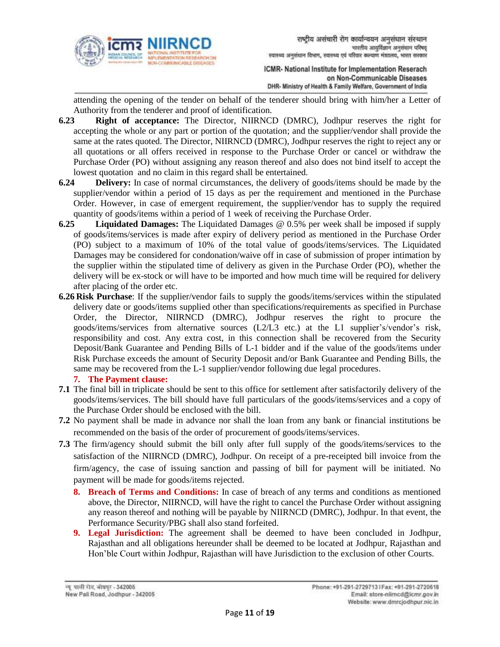

attending the opening of the tender on behalf of the tenderer should bring with him/her a Letter of Authority from the tenderer and proof of identification.

- **6.23 Right of acceptance:** The Director, NIIRNCD (DMRC), Jodhpur reserves the right for accepting the whole or any part or portion of the quotation; and the supplier/vendor shall provide the same at the rates quoted. The Director, NIIRNCD (DMRC), Jodhpur reserves the right to reject any or all quotations or all offers received in response to the Purchase Order or cancel or withdraw the Purchase Order (PO) without assigning any reason thereof and also does not bind itself to accept the lowest quotation and no claim in this regard shall be entertained.
- **6.24 Delivery:** In case of normal circumstances, the delivery of goods/items should be made by the supplier/vendor within a period of 15 days as per the requirement and mentioned in the Purchase Order. However, in case of emergent requirement, the supplier/vendor has to supply the required quantity of goods/items within a period of 1 week of receiving the Purchase Order.
- **6.25 Liquidated Damages:** The Liquidated Damages @ 0.5% per week shall be imposed if supply of goods/items/services is made after expiry of delivery period as mentioned in the Purchase Order (PO) subject to a maximum of 10% of the total value of goods/items/services. The Liquidated Damages may be considered for condonation/waive off in case of submission of proper intimation by the supplier within the stipulated time of delivery as given in the Purchase Order (PO), whether the delivery will be ex-stock or will have to be imported and how much time will be required for delivery after placing of the order etc.
- **6.26 Risk Purchase**: If the supplier/vendor fails to supply the goods/items/services within the stipulated delivery date or goods/items supplied other than specifications/requirements as specified in Purchase Order, the Director, NIIRNCD (DMRC), Jodhpur reserves the right to procure the goods/items/services from alternative sources (L2/L3 etc.) at the L1 supplier's/vendor's risk, responsibility and cost. Any extra cost, in this connection shall be recovered from the Security Deposit/Bank Guarantee and Pending Bills of L-1 bidder and if the value of the goods/items under Risk Purchase exceeds the amount of Security Deposit and/or Bank Guarantee and Pending Bills, the same may be recovered from the L-1 supplier/vendor following due legal procedures.

## **7. The Payment clause:**

- **7.1** The final bill in triplicate should be sent to this office for settlement after satisfactorily delivery of the goods/items/services. The bill should have full particulars of the goods/items/services and a copy of the Purchase Order should be enclosed with the bill.
- **7.2** No payment shall be made in advance nor shall the loan from any bank or financial institutions be recommended on the basis of the order of procurement of goods/items/services.
- **7.3** The firm/agency should submit the bill only after full supply of the goods/items/services to the satisfaction of the NIIRNCD (DMRC), Jodhpur. On receipt of a pre-receipted bill invoice from the firm/agency, the case of issuing sanction and passing of bill for payment will be initiated. No payment will be made for goods/items rejected.
	- **8. Breach of Terms and Conditions:** In case of breach of any terms and conditions as mentioned above, the Director, NIIRNCD, will have the right to cancel the Purchase Order without assigning any reason thereof and nothing will be payable by NIIRNCD (DMRC), Jodhpur. In that event, the Performance Security/PBG shall also stand forfeited.
	- **9. Legal Jurisdiction:** The agreement shall be deemed to have been concluded in Jodhpur, Rajasthan and all obligations hereunder shall be deemed to be located at Jodhpur, Rajasthan and Hon'ble Court within Jodhpur, Rajasthan will have Jurisdiction to the exclusion of other Courts.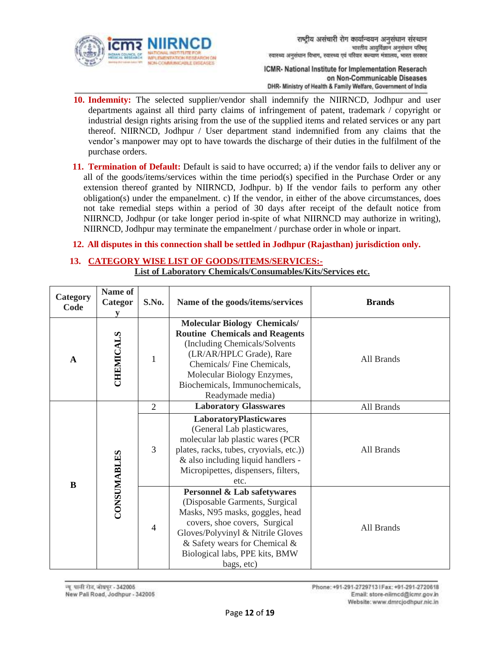

- **10. Indemnity:** The selected supplier/vendor shall indemnify the NIIRNCD, Jodhpur and user departments against all third party claims of infringement of patent, trademark / copyright or industrial design rights arising from the use of the supplied items and related services or any part thereof. NIIRNCD, Jodhpur / User department stand indemnified from any claims that the vendor's manpower may opt to have towards the discharge of their duties in the fulfilment of the purchase orders.
- **11. Termination of Default:** Default is said to have occurred; a) if the vendor fails to deliver any or all of the goods/items/services within the time period(s) specified in the Purchase Order or any extension thereof granted by NIIRNCD, Jodhpur. b) If the vendor fails to perform any other obligation(s) under the empanelment. c) If the vendor, in either of the above circumstances, does not take remedial steps within a period of 30 days after receipt of the default notice from NIIRNCD, Jodhpur (or take longer period in-spite of what NIIRNCD may authorize in writing), NIIRNCD, Jodhpur may terminate the empanelment / purchase order in whole or inpart.

#### **12. All disputes in this connection shall be settled in Jodhpur (Rajasthan) jurisdiction only.**

## **13. CATEGORY WISE LIST OF GOODS/ITEMS/SERVICES:-**

**List of Laboratory Chemicals/Consumables/Kits/Services etc.**

| Category<br>Code | Name of<br>Categor<br>V | S.No.          | Name of the goods/items/services                                                                                                                                                                                                                                   | <b>Brands</b>                                                                                                                                                                                                           |
|------------------|-------------------------|----------------|--------------------------------------------------------------------------------------------------------------------------------------------------------------------------------------------------------------------------------------------------------------------|-------------------------------------------------------------------------------------------------------------------------------------------------------------------------------------------------------------------------|
| $\mathbf A$      | <b>CHEMICALS</b>        |                | <b>Molecular Biology Chemicals/</b><br><b>Routine Chemicals and Reagents</b><br>(Including Chemicals/Solvents<br>(LR/AR/HPLC Grade), Rare<br>Chemicals/Fine Chemicals,<br>Molecular Biology Enzymes,<br>Biochemicals, Immunochemicals,<br>Readymade media)         | All Brands                                                                                                                                                                                                              |
| $\bf{B}$         |                         | $\overline{2}$ | <b>Laboratory Glasswares</b>                                                                                                                                                                                                                                       | All Brands                                                                                                                                                                                                              |
|                  |                         | CONSUMABLES    | 3                                                                                                                                                                                                                                                                  | LaboratoryPlasticwares<br>(General Lab plasticwares,<br>molecular lab plastic wares (PCR<br>plates, racks, tubes, cryovials, etc.)<br>& also including liquid handlers -<br>Micropipettes, dispensers, filters,<br>etc. |
|                  |                         | $\overline{4}$ | <b>Personnel &amp; Lab safetywares</b><br>(Disposable Garments, Surgical<br>Masks, N95 masks, goggles, head<br>covers, shoe covers, Surgical<br>Gloves/Polyvinyl & Nitrile Gloves<br>& Safety wears for Chemical &<br>Biological labs, PPE kits, BMW<br>bags, etc) | All Brands                                                                                                                                                                                                              |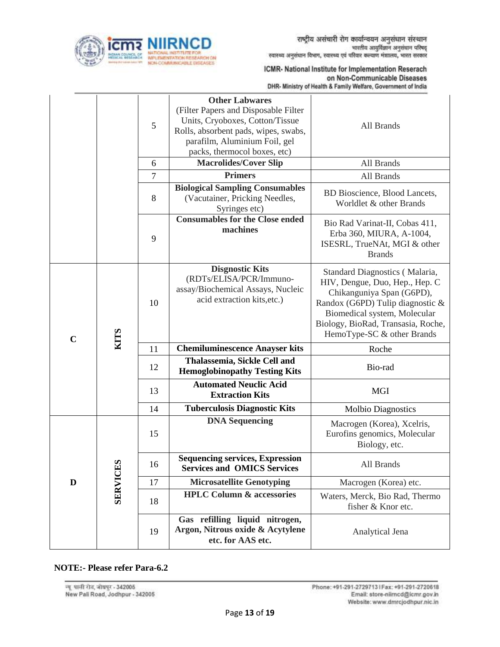

|             |                 | 5              | <b>Other Labwares</b><br>(Filter Papers and Disposable Filter<br>Units, Cryoboxes, Cotton/Tissue<br>Rolls, absorbent pads, wipes, swabs,<br>parafilm, Aluminium Foil, gel<br>packs, thermocol boxes, etc) | All Brands                                                                                                                                                                                                                            |
|-------------|-----------------|----------------|-----------------------------------------------------------------------------------------------------------------------------------------------------------------------------------------------------------|---------------------------------------------------------------------------------------------------------------------------------------------------------------------------------------------------------------------------------------|
|             |                 | 6              | <b>Macrolides/Cover Slip</b>                                                                                                                                                                              | All Brands                                                                                                                                                                                                                            |
|             |                 | $\overline{7}$ | <b>Primers</b>                                                                                                                                                                                            | All Brands                                                                                                                                                                                                                            |
|             |                 | 8              | <b>Biological Sampling Consumables</b><br>(Vacutainer, Pricking Needles,<br>Syringes etc)                                                                                                                 | BD Bioscience, Blood Lancets,<br>Worldlet & other Brands                                                                                                                                                                              |
|             |                 | 9              | <b>Consumables for the Close ended</b><br>machines                                                                                                                                                        | Bio Rad Varinat-II, Cobas 411,<br>Erba 360, MIURA, A-1004,<br>ISESRL, TrueNAt, MGI & other<br><b>Brands</b>                                                                                                                           |
| $\mathbf C$ | <b>KITS</b>     | 10             | <b>Disgnostic Kits</b><br>(RDTs/ELISA/PCR/Immuno-<br>assay/Biochemical Assays, Nucleic<br>acid extraction kits, etc.)                                                                                     | Standard Diagnostics (Malaria,<br>HIV, Dengue, Duo, Hep., Hep. C<br>Chikanguniya Span (G6PD),<br>Randox (G6PD) Tulip diagnostic &<br>Biomedical system, Molecular<br>Biology, BioRad, Transasia, Roche,<br>HemoType-SC & other Brands |
|             |                 | 11             | <b>Chemiluminescence Anayser kits</b>                                                                                                                                                                     | Roche                                                                                                                                                                                                                                 |
|             |                 | 12             | Thalassemia, Sickle Cell and<br><b>Hemoglobinopathy Testing Kits</b>                                                                                                                                      | Bio-rad                                                                                                                                                                                                                               |
|             |                 | 13             | <b>Automated Neuclic Acid</b><br><b>Extraction Kits</b>                                                                                                                                                   | <b>MGI</b>                                                                                                                                                                                                                            |
|             |                 | 14             | <b>Tuberculosis Diagnostic Kits</b>                                                                                                                                                                       | <b>Molbio Diagnostics</b>                                                                                                                                                                                                             |
|             |                 | 15             | <b>DNA Sequencing</b>                                                                                                                                                                                     | Macrogen (Korea), Xcelris,<br>Eurofins genomics, Molecular<br>Biology, etc.                                                                                                                                                           |
|             | <b>SERVICES</b> | 16             | <b>Sequencing services, Expression</b><br><b>Services and OMICS Services</b>                                                                                                                              | All Brands                                                                                                                                                                                                                            |
| D           |                 | 17             | <b>Microsatellite Genotyping</b>                                                                                                                                                                          | Macrogen (Korea) etc.                                                                                                                                                                                                                 |
|             |                 | 18             | <b>HPLC Column &amp; accessories</b>                                                                                                                                                                      | Waters, Merck, Bio Rad, Thermo<br>fisher & Knor etc.                                                                                                                                                                                  |
|             |                 | 19             | Gas refilling liquid nitrogen,<br>Argon, Nitrous oxide & Acytylene<br>etc. for AAS etc.                                                                                                                   | Analytical Jena                                                                                                                                                                                                                       |

## **NOTE:- Please refer Para-6.2**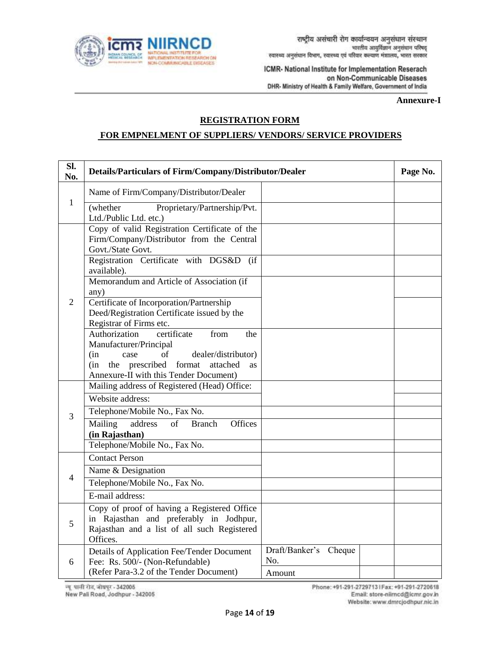

**Annexure-I**

### **REGISTRATION FORM**

#### **FOR EMPNELMENT OF SUPPLIERS/ VENDORS/ SERVICE PROVIDERS**

| Sl.<br>No.     | Details/Particulars of Firm/Company/Distributor/Dealer                                                                                                                                                               |                                        |  |  |  |  |  |  |  |  |
|----------------|----------------------------------------------------------------------------------------------------------------------------------------------------------------------------------------------------------------------|----------------------------------------|--|--|--|--|--|--|--|--|
|                | Name of Firm/Company/Distributor/Dealer                                                                                                                                                                              |                                        |  |  |  |  |  |  |  |  |
| $\mathbf{1}$   | Proprietary/Partnership/Pvt.<br>(whether<br>Ltd./Public Ltd. etc.)                                                                                                                                                   |                                        |  |  |  |  |  |  |  |  |
|                | Copy of valid Registration Certificate of the<br>Firm/Company/Distributor from the Central<br>Govt./State Govt.<br>Registration Certificate with DGS&D (if<br>available).                                            |                                        |  |  |  |  |  |  |  |  |
| 2              | Memorandum and Article of Association (if<br>any)<br>Certificate of Incorporation/Partnership<br>Deed/Registration Certificate issued by the<br>Registrar of Firms etc.                                              |                                        |  |  |  |  |  |  |  |  |
|                | Authorization<br>certificate<br>from<br>the<br>Manufacturer/Principal<br>(in<br>of<br>case<br>dealer/distributor)<br>(in<br>the prescribed format<br>attached<br><b>as</b><br>Annexure-II with this Tender Document) |                                        |  |  |  |  |  |  |  |  |
|                | Mailing address of Registered (Head) Office:                                                                                                                                                                         |                                        |  |  |  |  |  |  |  |  |
| 3              | Website address:<br>Telephone/Mobile No., Fax No.<br>Mailing<br>address<br>of<br>Offices<br><b>Branch</b>                                                                                                            |                                        |  |  |  |  |  |  |  |  |
|                | (in Rajasthan)<br>Telephone/Mobile No., Fax No.                                                                                                                                                                      |                                        |  |  |  |  |  |  |  |  |
|                | <b>Contact Person</b>                                                                                                                                                                                                |                                        |  |  |  |  |  |  |  |  |
| $\overline{4}$ | Name & Designation                                                                                                                                                                                                   |                                        |  |  |  |  |  |  |  |  |
|                | Telephone/Mobile No., Fax No.<br>E-mail address:                                                                                                                                                                     |                                        |  |  |  |  |  |  |  |  |
| 5              | Copy of proof of having a Registered Office<br>in Rajasthan and preferably in Jodhpur,<br>Rajasthan and a list of all such Registered<br>Offices.                                                                    |                                        |  |  |  |  |  |  |  |  |
| 6              | Details of Application Fee/Tender Document<br>Fee: Rs. 500/- (Non-Refundable)<br>(Refer Para-3.2 of the Tender Document)                                                                                             | Draft/Banker's Cheque<br>No.<br>Amount |  |  |  |  |  |  |  |  |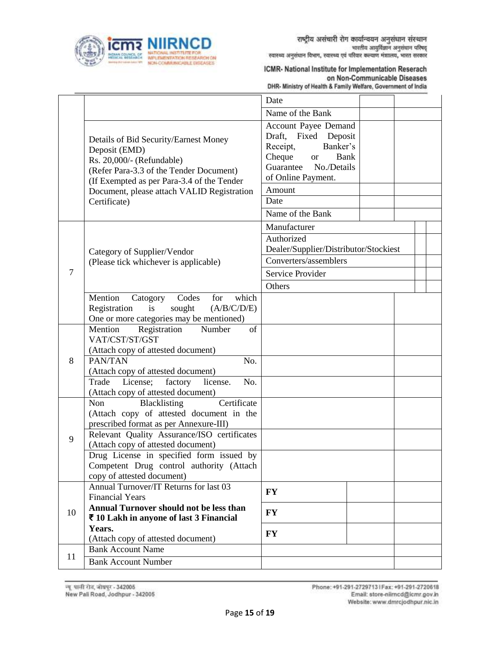

|                |                                                                                                                                                                              | Date                                                                                                                                                  |  |  |
|----------------|------------------------------------------------------------------------------------------------------------------------------------------------------------------------------|-------------------------------------------------------------------------------------------------------------------------------------------------------|--|--|
|                |                                                                                                                                                                              | Name of the Bank                                                                                                                                      |  |  |
|                | Details of Bid Security/Earnest Money<br>Deposit (EMD)<br>Rs. 20,000/- (Refundable)<br>(Refer Para-3.3 of the Tender Document)<br>(If Exempted as per Para-3.4 of the Tender | Account Payee Demand<br>Draft, Fixed Deposit<br>Banker's<br>Receipt,<br>Cheque<br>Bank<br><b>or</b><br>Guarantee<br>No./Details<br>of Online Payment. |  |  |
|                | Document, please attach VALID Registration                                                                                                                                   | Amount                                                                                                                                                |  |  |
|                | Certificate)                                                                                                                                                                 | Date                                                                                                                                                  |  |  |
|                |                                                                                                                                                                              | Name of the Bank                                                                                                                                      |  |  |
|                |                                                                                                                                                                              | Manufacturer                                                                                                                                          |  |  |
|                | Category of Supplier/Vendor                                                                                                                                                  | Authorized<br>Dealer/Supplier/Distributor/Stockiest                                                                                                   |  |  |
| $\overline{7}$ | (Please tick whichever is applicable)                                                                                                                                        | Converters/assemblers                                                                                                                                 |  |  |
|                |                                                                                                                                                                              | Service Provider                                                                                                                                      |  |  |
|                |                                                                                                                                                                              | Others                                                                                                                                                |  |  |
|                | Mention<br>which<br>Codes<br>Catogory<br>for<br>Registration<br>sought<br>(A/B/C/D/E)<br>is<br>One or more categories may be mentioned)                                      |                                                                                                                                                       |  |  |
|                | Mention<br>Registration<br>Number<br>of                                                                                                                                      |                                                                                                                                                       |  |  |
|                | VAT/CST/ST/GST                                                                                                                                                               |                                                                                                                                                       |  |  |
| 8              | (Attach copy of attested document)<br>PAN/TAN<br>No.                                                                                                                         |                                                                                                                                                       |  |  |
|                | (Attach copy of attested document)                                                                                                                                           |                                                                                                                                                       |  |  |
|                | Trade<br>License;<br>factory<br>license.<br>No.                                                                                                                              |                                                                                                                                                       |  |  |
|                | (Attach copy of attested document)                                                                                                                                           |                                                                                                                                                       |  |  |
|                | Certificate<br>Non<br>Blacklisting                                                                                                                                           |                                                                                                                                                       |  |  |
|                | (Attach copy of attested document in the<br>prescribed format as per Annexure-III)                                                                                           |                                                                                                                                                       |  |  |
|                | Relevant Quality Assurance/ISO certificates                                                                                                                                  |                                                                                                                                                       |  |  |
| 9              | (Attach copy of attested document)                                                                                                                                           |                                                                                                                                                       |  |  |
|                | Drug License in specified form issued by                                                                                                                                     |                                                                                                                                                       |  |  |
|                | Competent Drug control authority (Attach                                                                                                                                     |                                                                                                                                                       |  |  |
|                | copy of attested document)<br>Annual Turnover/IT Returns for last 03                                                                                                         |                                                                                                                                                       |  |  |
|                | <b>Financial Years</b>                                                                                                                                                       | <b>FY</b>                                                                                                                                             |  |  |
|                | Annual Turnover should not be less than                                                                                                                                      |                                                                                                                                                       |  |  |
| 10             | ₹ 10 Lakh in anyone of last 3 Financial                                                                                                                                      | <b>FY</b>                                                                                                                                             |  |  |
|                | Years.                                                                                                                                                                       | <b>FY</b>                                                                                                                                             |  |  |
|                | (Attach copy of attested document)<br><b>Bank Account Name</b>                                                                                                               |                                                                                                                                                       |  |  |
| 11             | <b>Bank Account Number</b>                                                                                                                                                   |                                                                                                                                                       |  |  |
|                |                                                                                                                                                                              |                                                                                                                                                       |  |  |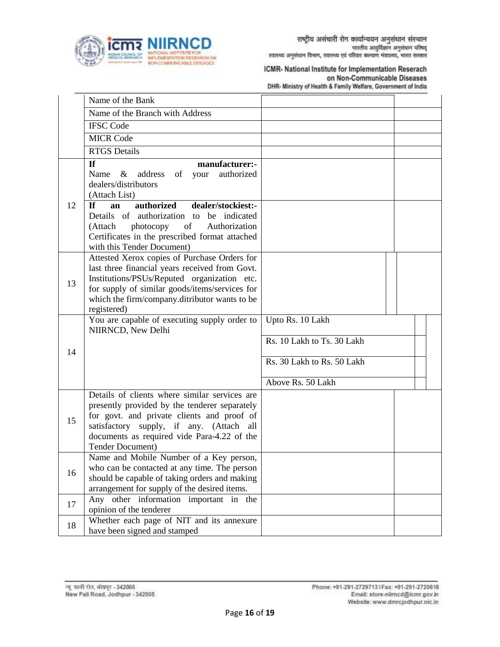

|    | Name of the Bank                                                                                                                                                                                                                                                |                                                                                                   |  |
|----|-----------------------------------------------------------------------------------------------------------------------------------------------------------------------------------------------------------------------------------------------------------------|---------------------------------------------------------------------------------------------------|--|
|    | Name of the Branch with Address                                                                                                                                                                                                                                 |                                                                                                   |  |
|    | <b>IFSC Code</b>                                                                                                                                                                                                                                                |                                                                                                   |  |
|    | <b>MICR Code</b>                                                                                                                                                                                                                                                |                                                                                                   |  |
|    | <b>RTGS</b> Details                                                                                                                                                                                                                                             |                                                                                                   |  |
|    | If<br>manufacturer:-<br>Name<br>& address<br>of your<br>authorized<br>dealers/distributors<br>(Attach List)                                                                                                                                                     |                                                                                                   |  |
| 12 | authorized<br><b>If</b><br>dealer/stockiest:-<br>an<br>Details of authorization to be indicated<br>photocopy of<br>(Attach<br>Authorization<br>Certificates in the prescribed format attached<br>with this Tender Document)                                     |                                                                                                   |  |
| 13 | Attested Xerox copies of Purchase Orders for<br>last three financial years received from Govt.<br>Institutions/PSUs/Reputed organization etc.<br>for supply of similar goods/items/services for<br>which the firm/company.ditributor wants to be<br>registered) |                                                                                                   |  |
| 14 | You are capable of executing supply order to<br>NIIRNCD, New Delhi                                                                                                                                                                                              | Upto Rs. 10 Lakh<br>Rs. 10 Lakh to Ts. 30 Lakh<br>Rs. 30 Lakh to Rs. 50 Lakh<br>Above Rs. 50 Lakh |  |
| 15 | Details of clients where similar services are<br>presently provided by the tenderer separately<br>for govt. and private clients and proof of<br>satisfactory supply, if any. (Attach all<br>documents as required vide Para-4.22 of the<br>Tender Document)     |                                                                                                   |  |
| 16 | Name and Mobile Number of a Key person,<br>who can be contacted at any time. The person<br>should be capable of taking orders and making<br>arrangement for supply of the desired items.                                                                        |                                                                                                   |  |
| 17 | Any other information important in the<br>opinion of the tenderer                                                                                                                                                                                               |                                                                                                   |  |
| 18 | Whether each page of NIT and its annexure<br>have been signed and stamped                                                                                                                                                                                       |                                                                                                   |  |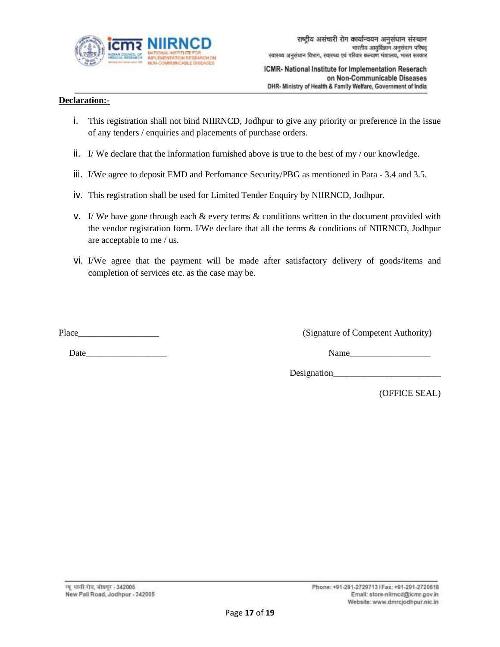

## **Declaration:-**

- i. This registration shall not bind NIIRNCD, Jodhpur to give any priority or preference in the issue of any tenders / enquiries and placements of purchase orders.
- i. If We declare that the information furnished above is true to the best of my  $/$  our knowledge.
- iii. I/We agree to deposit EMD and Perfomance Security/PBG as mentioned in Para 3.4 and 3.5.
- iv. This registration shall be used for Limited Tender Enquiry by NIIRNCD, Jodhpur.
- v. I/ We have gone through each  $\&$  every terms  $\&$  conditions written in the document provided with the vendor registration form. I/We declare that all the terms & conditions of NIIRNCD, Jodhpur are acceptable to me / us.
- vi. I/We agree that the payment will be made after satisfactory delivery of goods/items and completion of services etc. as the case may be.

Date Name

Place\_\_\_\_\_\_\_\_\_\_\_\_\_\_\_\_\_\_ (Signature of Competent Authority)

Designation\_\_\_\_\_\_\_\_\_\_\_\_\_\_\_\_\_\_\_\_\_\_\_\_

(OFFICE SEAL)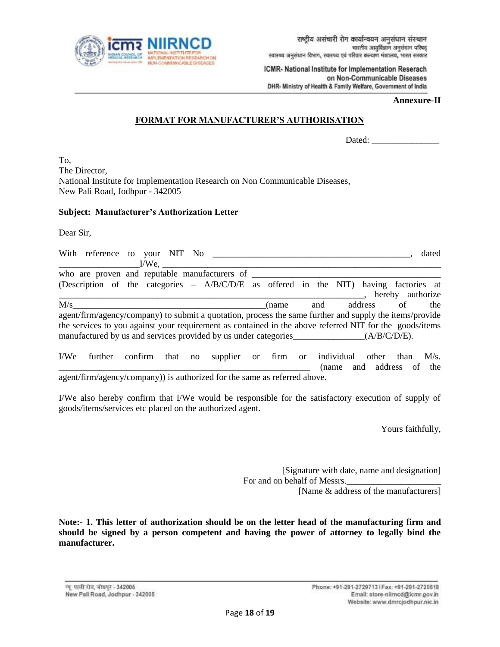

#### **Annexure-II**

#### **FORMAT FOR MANUFACTURER'S AUTHORISATION**

|  | Dated:<br>. |
|--|-------------|
|--|-------------|

To, The Director, National Institute for Implementation Research on Non Communicable Diseases, New Pali Road, Jodhpur - 342005

#### **Subject: Manufacturer's Authorization Letter**

Dear Sir,

| $I/W$ e.                                      |                                                                                                                                                                                                                                                      | dated            |
|-----------------------------------------------|------------------------------------------------------------------------------------------------------------------------------------------------------------------------------------------------------------------------------------------------------|------------------|
| who are proven and reputable manufacturers of | (Description of the categories - A/B/C/D/E as offered in the NIT) having factories at                                                                                                                                                                | hereby authorize |
| M/s                                           | address<br>of<br>and<br>(name)<br>agent/firm/agency/company) to submit a quotation, process the same further and supply the items/provide<br>the services to you against your requirement as contained in the above referred NIT for the goods/items | the              |

| I/We                                                                      |  |  |  |  | further confirm that no supplier or firm or individual other than M/s. |  |  |  |                          |  |  |  |
|---------------------------------------------------------------------------|--|--|--|--|------------------------------------------------------------------------|--|--|--|--------------------------|--|--|--|
|                                                                           |  |  |  |  |                                                                        |  |  |  | (name and address of the |  |  |  |
| agent/firm/agency/company)) is authorized for the same as referred above. |  |  |  |  |                                                                        |  |  |  |                          |  |  |  |

I/We also hereby confirm that I/We would be responsible for the satisfactory execution of supply of goods/items/services etc placed on the authorized agent.

Yours faithfully,

[Signature with date, name and designation] For and on behalf of Messrs.

[Name & address of the manufacturers]

**Note:- 1. This letter of authorization should be on the letter head of the manufacturing firm and should be signed by a person competent and having the power of attorney to legally bind the manufacturer.**

न्यू पाली रोड, जोधपुर - 342005 New Pali Road, Jodhpur - 342005